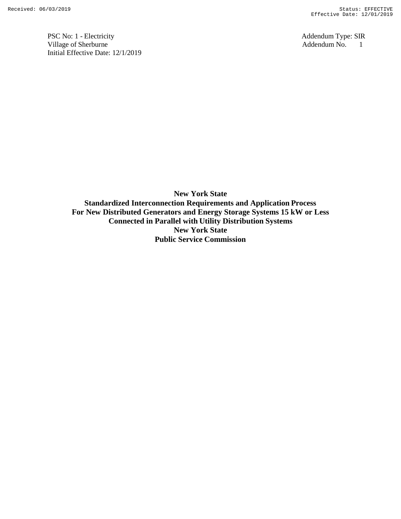PSC No: 1 - Electricity<br>
Village of Sherburne<br>
Addendum No. 1 Village of Sherburne Addendum No. 1 Initial Effective Date: 12/1/2019

**New York State Standardized Interconnection Requirements and Application Process For New Distributed Generators and Energy Storage Systems 15 kW or Less Connected in Parallel with Utility Distribution Systems New York State Public Service Commission**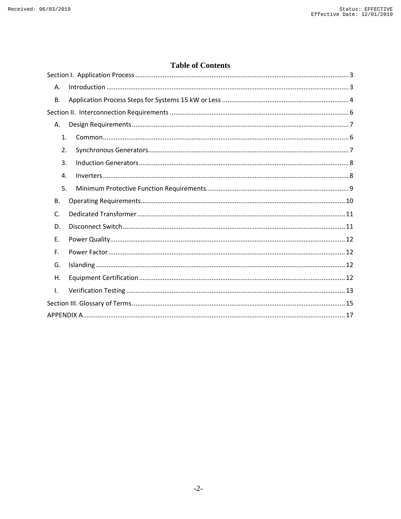### **Table of Contents**

| Α.             |  |
|----------------|--|
| В.             |  |
|                |  |
| А.             |  |
| 1.             |  |
| 2.             |  |
| 3.             |  |
| 4.             |  |
| 5.             |  |
| В.             |  |
| $\mathsf{C}$ . |  |
| D.             |  |
| E.             |  |
| F.             |  |
| G.             |  |
| Η.             |  |
| I.             |  |
|                |  |
|                |  |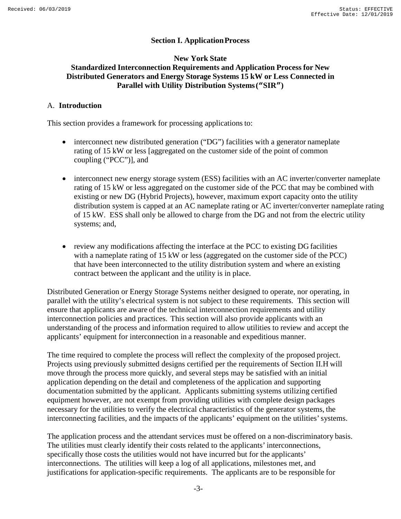### **Section I. ApplicationProcess**

#### <span id="page-2-0"></span>**New York State Standardized Interconnection Requirements and Application Process for New Distributed Generators and Energy Storage Systems 15 kW or Less Connected in Parallel with Utility Distribution Systems("SIR")**

#### <span id="page-2-1"></span>A. **Introduction**

This section provides a framework for processing applications to:

- interconnect new distributed generation ("DG") facilities with a generator nameplate rating of 15 kW or less [aggregated on the customer side of the point of common coupling ("PCC")], and
- interconnect new energy storage system (ESS) facilities with an AC inverter/converter nameplate rating of 15 kW or less aggregated on the customer side of the PCC that may be combined with existing or new DG (Hybrid Projects), however, maximum export capacity onto the utility distribution system is capped at an AC nameplate rating or AC inverter/converter nameplate rating of 15 kW. ESS shall only be allowed to charge from the DG and not from the electric utility systems; and,
- review any modifications affecting the interface at the PCC to existing DG facilities with a nameplate rating of 15 kW or less (aggregated on the customer side of the PCC) that have been interconnected to the utility distribution system and where an existing contract between the applicant and the utility is in place.

Distributed Generation or Energy Storage Systems neither designed to operate, nor operating, in parallel with the utility's electrical system is not subject to these requirements. This section will ensure that applicants are aware of the technical interconnection requirements and utility interconnection policies and practices. This section will also provide applicants with an understanding of the process and information required to allow utilities to review and accept the applicants' equipment for interconnection in a reasonable and expeditious manner.

The time required to complete the process will reflect the complexity of the proposed project. Projects using previously submitted designs certified per the requirements of Section II.H will move through the process more quickly, and several steps may be satisfied with an initial application depending on the detail and completeness of the application and supporting documentation submitted by the applicant. Applicants submitting systems utilizing certified equipment however, are not exempt from providing utilities with complete design packages necessary for the utilities to verify the electrical characteristics of the generator systems, the interconnecting facilities, and the impacts of the applicants' equipment on the utilities'systems.

The application process and the attendant services must be offered on a non-discriminatory basis. The utilities must clearly identify their costs related to the applicants' interconnections, specifically those costs the utilities would not have incurred but for the applicants' interconnections. The utilities will keep a log of all applications, milestones met, and justifications for application-specific requirements. The applicants are to be responsible for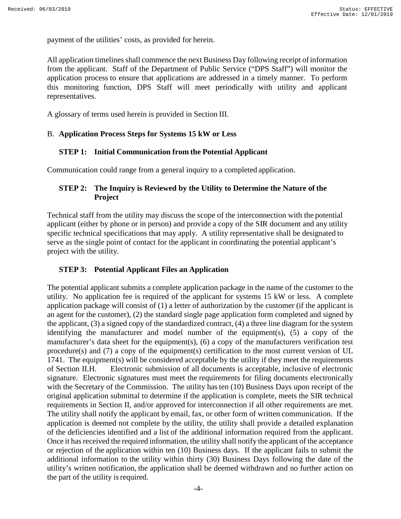payment of the utilities' costs, as provided for herein.

All application timelines shall commence the next Business Day following receipt ofinformation from the applicant. Staff of the Department of Public Service ("DPS Staff") will monitor the application process to ensure that applications are addressed in a timely manner. To perform this monitoring function, DPS Staff will meet periodically with utility and applicant representatives.

A glossary of terms used herein is provided in Section III.

#### <span id="page-3-0"></span>B. **Application Process Steps for Systems 15 kW or Less**

#### **STEP 1: Initial Communication from the Potential Applicant**

Communication could range from a general inquiry to a completed application.

### **STEP 2: The Inquiry is Reviewed by the Utility to Determine the Nature of the Project**

Technical staff from the utility may discuss the scope of the interconnection with the potential applicant (either by phone or in person) and provide a copy of the SIR document and any utility specific technical specifications that may apply. A utility representative shall be designated to serve as the single point of contact for the applicant in coordinating the potential applicant's project with the utility.

#### **STEP 3: Potential Applicant Files an Application**

The potential applicant submits a complete application package in the name of the customer to the utility. No application fee is required of the applicant for systems 15 kW or less. A complete application package will consist of (1) a letter of authorization by the customer (if the applicant is an agent for the customer), (2) the standard single page application form completed and signed by the applicant, (3) a signed copy of the standardized contract, (4) a three line diagram for the system identifying the manufacturer and model number of the equipment(s), (5) a copy of the manufacturer's data sheet for the equipment(s), (6) a copy of the manufacturers verification test procedure(s) and (7) a copy of the equipment(s) certification to the most current version of UL 1741. The equipment(s) will be considered acceptable by the utility if they meet the requirements of Section II.H. Electronic submission of all documents is acceptable, inclusive of electronic signature. Electronic signatures must meet the requirements for filing documents electronically with the Secretary of the Commission. The utility has ten (10) Business Days upon receipt of the original application submittal to determine if the application is complete, meets the SIR technical requirements in Section II, and/or approved for interconnection if all other requirements are met. The utility shall notify the applicant by email, fax, or other form of written communication. If the application is deemed not complete by the utility, the utility shall provide a detailed explanation of the deficiencies identified and a list of the additional information required from the applicant. Once it has received the required information, the utility shall notify the applicant of the acceptance or rejection of the application within ten (10) Business days. If the applicant fails to submit the additional information to the utility within thirty (30) Business Days following the date of the utility's written notification, the application shall be deemed withdrawn and no further action on the part of the utility is required.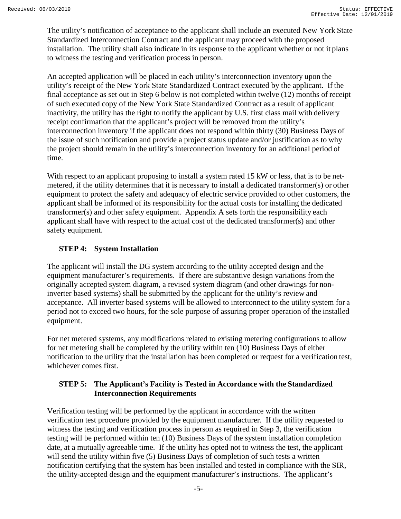The utility's notification of acceptance to the applicant shall include an executed New York State Standardized Interconnection Contract and the applicant may proceed with the proposed installation. The utility shall also indicate in its response to the applicant whether or not it plans to witness the testing and verification process in person.

An accepted application will be placed in each utility's interconnection inventory upon the utility's receipt of the New York State Standardized Contract executed by the applicant. If the final acceptance as set out in Step 6 below is not completed within twelve (12) months of receipt of such executed copy of the New York State Standardized Contract as a result of applicant inactivity, the utility has the right to notify the applicant by U.S. first class mail with delivery receipt confirmation that the applicant's project will be removed from the utility's interconnection inventory if the applicant does not respond within thirty (30) Business Days of the issue of such notification and provide a project status update and/or justification as to why the project should remain in the utility's interconnection inventory for an additional period of time.

With respect to an applicant proposing to install a system rated 15 kW or less, that is to be netmetered, if the utility determines that it is necessary to install a dedicated transformer(s) or other equipment to protect the safety and adequacy of electric service provided to other customers, the applicant shall be informed of its responsibility for the actual costs for installing the dedicated transformer(s) and other safety equipment. Appendix A sets forth the responsibility each applicant shall have with respect to the actual cost of the dedicated transformer(s) and other safety equipment.

### **STEP 4: System Installation**

The applicant will install the DG system according to the utility accepted design and the equipment manufacturer's requirements. If there are substantive design variations from the originally accepted system diagram, a revised system diagram (and other drawings for noninverter based systems) shall be submitted by the applicant for the utility's review and acceptance. All inverter based systems will be allowed to interconnect to the utility system for a period not to exceed two hours, for the sole purpose of assuring proper operation of the installed equipment.

For net metered systems, any modifications related to existing metering configurations to allow for net metering shall be completed by the utility within ten (10) Business Days of either notification to the utility that the installation has been completed or request for a verification test, whichever comes first.

#### **STEP 5: The Applicant's Facility is Tested in Accordance with the Standardized Interconnection Requirements**

Verification testing will be performed by the applicant in accordance with the written verification test procedure provided by the equipment manufacturer. If the utility requested to witness the testing and verification process in person as required in Step 3, the verification testing will be performed within ten (10) Business Days of the system installation completion date, at a mutually agreeable time. If the utility has opted not to witness the test, the applicant will send the utility within five (5) Business Days of completion of such tests a written notification certifying that the system has been installed and tested in compliance with the SIR, the utility-accepted design and the equipment manufacturer's instructions. The applicant's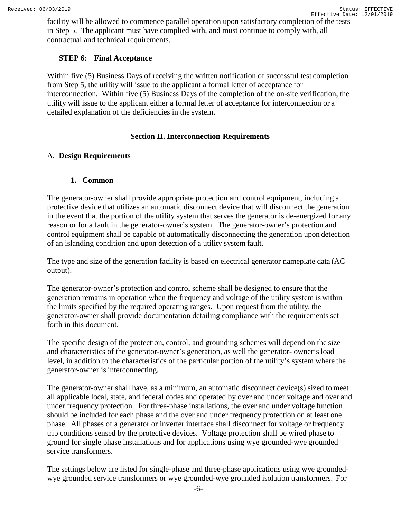facility will be allowed to commence parallel operation upon satisfactory completion of the tests in Step 5. The applicant must have complied with, and must continue to comply with, all contractual and technical requirements.

#### **STEP 6: Final Acceptance**

Within five (5) Business Days of receiving the written notification of successful test completion from Step 5, the utility will issue to the applicant a formal letter of acceptance for interconnection. Within five (5) Business Days of the completion of the on-site verification, the utility will issue to the applicant either a formal letter of acceptance for interconnection or a detailed explanation of the deficiencies in the system.

#### **Section II. Interconnection Requirements**

#### <span id="page-5-2"></span><span id="page-5-1"></span><span id="page-5-0"></span>A. **Design Requirements**

#### **1. Common**

The generator-owner shall provide appropriate protection and control equipment, including a protective device that utilizes an automatic disconnect device that will disconnect the generation in the event that the portion of the utility system that serves the generator is de-energized for any reason or for a fault in the generator-owner's system. The generator-owner's protection and control equipment shall be capable of automatically disconnecting the generation upon detection of an islanding condition and upon detection of a utility system fault.

The type and size of the generation facility is based on electrical generator nameplate data (AC output).

The generator-owner's protection and control scheme shall be designed to ensure that the generation remains in operation when the frequency and voltage of the utility system is within the limits specified by the required operating ranges. Upon request from the utility, the generator-owner shall provide documentation detailing compliance with the requirements set forth in this document.

The specific design of the protection, control, and grounding schemes will depend on the size and characteristics of the generator-owner's generation, as well the generator- owner's load level, in addition to the characteristics of the particular portion of the utility's system where the generator-owner is interconnecting.

The generator-owner shall have, as a minimum, an automatic disconnect device(s) sized to meet all applicable local, state, and federal codes and operated by over and under voltage and over and under frequency protection. For three-phase installations, the over and under voltage function should be included for each phase and the over and under frequency protection on at least one phase. All phases of a generator or inverter interface shall disconnect for voltage or frequency trip conditions sensed by the protective devices. Voltage protection shall be wired phase to ground for single phase installations and for applications using wye grounded-wye grounded service transformers.

The settings below are listed for single-phase and three-phase applications using wye groundedwye grounded service transformers or wye grounded-wye grounded isolation transformers. For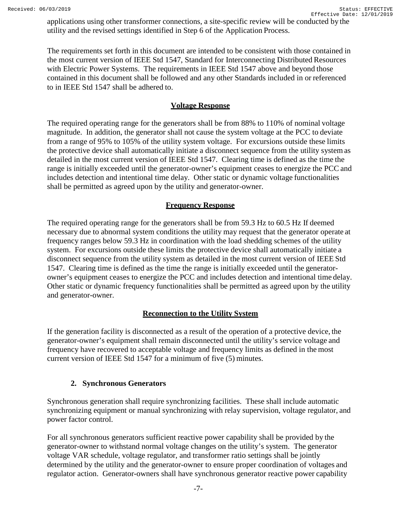applications using other transformer connections, a site-specific review will be conducted by the utility and the revised settings identified in Step 6 of the Application Process.

The requirements set forth in this document are intended to be consistent with those contained in the most current version of IEEE Std 1547, Standard for Interconnecting Distributed Resources with Electric Power Systems. The requirements in IEEE Std 1547 above and beyond those contained in this document shall be followed and any other Standards included in or referenced to in IEEE Std 1547 shall be adhered to.

### **Voltage Response**

The required operating range for the generators shall be from 88% to 110% of nominal voltage magnitude. In addition, the generator shall not cause the system voltage at the PCC to deviate from a range of 95% to 105% of the utility system voltage. For excursions outside these limits the protective device shall automatically initiate a disconnect sequence from the utility system as detailed in the most current version of IEEE Std 1547. Clearing time is defined as the time the range is initially exceeded until the generator-owner's equipment ceases to energize the PCC and includes detection and intentional time delay. Other static or dynamic voltage functionalities shall be permitted as agreed upon by the utility and generator-owner.

## **Frequency Response**

The required operating range for the generators shall be from 59.3 Hz to 60.5 Hz If deemed necessary due to abnormal system conditions the utility may request that the generator operate at frequency ranges below 59.3 Hz in coordination with the load shedding schemes of the utility system. For excursions outside these limits the protective device shall automatically initiate a disconnect sequence from the utility system as detailed in the most current version of IEEE Std 1547. Clearing time is defined as the time the range is initially exceeded until the generatorowner's equipment ceases to energize the PCC and includes detection and intentional time delay. Other static or dynamic frequency functionalities shall be permitted as agreed upon by the utility and generator-owner.

## **Reconnection to the Utility System**

If the generation facility is disconnected as a result of the operation of a protective device, the generator-owner's equipment shall remain disconnected until the utility's service voltage and frequency have recovered to acceptable voltage and frequency limits as defined in the most current version of IEEE Std 1547 for a minimum of five (5) minutes.

## **2. Synchronous Generators**

<span id="page-6-0"></span>Synchronous generation shall require synchronizing facilities. These shall include automatic synchronizing equipment or manual synchronizing with relay supervision, voltage regulator, and power factor control.

For all synchronous generators sufficient reactive power capability shall be provided by the generator-owner to withstand normal voltage changes on the utility's system. The generator voltage VAR schedule, voltage regulator, and transformer ratio settings shall be jointly determined by the utility and the generator-owner to ensure proper coordination of voltages and regulator action. Generator-owners shall have synchronous generator reactive power capability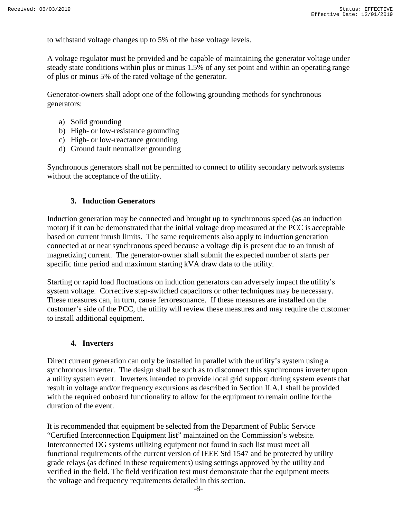to withstand voltage changes up to 5% of the base voltage levels.

A voltage regulator must be provided and be capable of maintaining the generator voltage under steady state conditions within plus or minus 1.5% of any set point and within an operating range of plus or minus 5% of the rated voltage of the generator.

Generator-owners shall adopt one of the following grounding methods for synchronous generators:

- a) Solid grounding
- b) High- or low-resistance grounding
- c) High- or low-reactance grounding
- d) Ground fault neutralizer grounding

<span id="page-7-0"></span>Synchronous generators shall not be permitted to connect to utility secondary network systems without the acceptance of the utility.

#### **3. Induction Generators**

Induction generation may be connected and brought up to synchronous speed (as an induction motor) if it can be demonstrated that the initial voltage drop measured at the PCC is acceptable based on current inrush limits. The same requirements also apply to induction generation connected at or near synchronous speed because a voltage dip is present due to an inrush of magnetizing current. The generator-owner shall submit the expected number of starts per specific time period and maximum starting kVA draw data to the utility.

Starting or rapid load fluctuations on induction generators can adversely impact the utility's system voltage. Corrective step-switched capacitors or other techniques may be necessary. These measures can, in turn, cause ferroresonance. If these measures are installed on the customer's side of the PCC, the utility will review these measures and may require the customer to install additional equipment.

#### **4. Inverters**

<span id="page-7-1"></span>Direct current generation can only be installed in parallel with the utility's system using a synchronous inverter. The design shall be such as to disconnect this synchronous inverter upon a utility system event. Inverters intended to provide local grid support during system events that result in voltage and/or frequency excursions as described in Section II.A.1 shall be provided with the required onboard functionality to allow for the equipment to remain online for the duration of the event.

It is recommended that equipment be selected from the Department of Public Service "Certified Interconnection Equipment list" maintained on the Commission's website. Interconnected DG systems utilizing equipment not found in such list must meet all functional requirements of the current version of IEEE Std 1547 and be protected by utility grade relays (as defined in these requirements) using settings approved by the utility and verified in the field. The field verification test must demonstrate that the equipment meets the voltage and frequency requirements detailed in this section.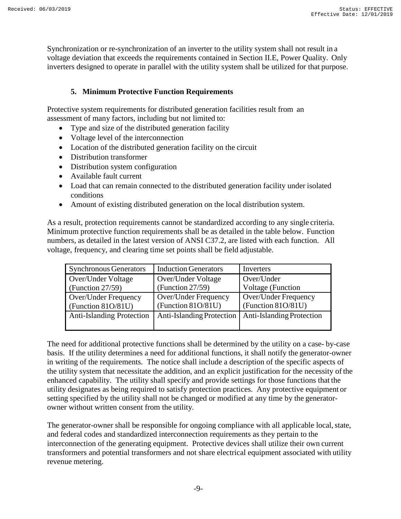Synchronization or re-synchronization of an inverter to the utility system shall not result in a voltage deviation that exceeds the requirements contained in Section II.E, Power Quality. Only inverters designed to operate in parallel with the utility system shall be utilized for that purpose.

### **5. Minimum Protective Function Requirements**

<span id="page-8-0"></span>Protective system requirements for distributed generation facilities result from an assessment of many factors, including but not limited to:

- Type and size of the distributed generation facility
- Voltage level of the interconnection
- Location of the distributed generation facility on the circuit
- Distribution transformer
- Distribution system configuration
- Available fault current
- Load that can remain connected to the distributed generation facility under isolated conditions
- Amount of existing distributed generation on the local distribution system.

As a result, protection requirements cannot be standardized according to any single criteria. Minimum protective function requirements shall be as detailed in the table below. Function numbers, as detailed in the latest version of ANSI C37.2, are listed with each function. All voltage, frequency, and clearing time set points shall be field adjustable.

| <b>Synchronous Generators</b>    | <b>Induction Generators</b> | Inverters                 |  |
|----------------------------------|-----------------------------|---------------------------|--|
| Over/Under Voltage               | Over/Under Voltage          | Over/Under                |  |
| (Function $27/59$ )              | (Function $27/59$ )         | <b>Voltage</b> (Function  |  |
| Over/Under Frequency             | Over/Under Frequency        | Over/Under Frequency      |  |
| (Function 81O/81U)               | (Function 81O/81U)          | (Function 81O/81U)        |  |
| <b>Anti-Islanding Protection</b> | Anti-Islanding Protection   | Anti-Islanding Protection |  |

The need for additional protective functions shall be determined by the utility on a case- by-case basis. If the utility determines a need for additional functions, it shall notify the generator-owner in writing of the requirements. The notice shall include a description of the specific aspects of the utility system that necessitate the addition, and an explicit justification for the necessity ofthe enhanced capability. The utility shall specify and provide settings for those functions that the utility designates as being required to satisfy protection practices. Any protective equipment or setting specified by the utility shall not be changed or modified at any time by the generatorowner without written consent from the utility.

The generator-owner shall be responsible for ongoing compliance with all applicable local, state, and federal codes and standardized interconnection requirements as they pertain to the interconnection of the generating equipment. Protective devices shall utilize their own current transformers and potential transformers and not share electrical equipment associated with utility revenue metering.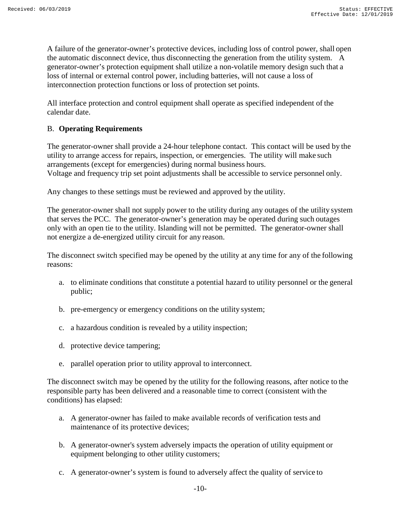A failure of the generator-owner's protective devices, including loss of control power, shall open the automatic disconnect device, thus disconnecting the generation from the utility system. A generator-owner's protection equipment shall utilize a non-volatile memory design such that a loss of internal or external control power, including batteries, will not cause a loss of interconnection protection functions or loss of protection set points.

All interface protection and control equipment shall operate as specified independent of the calendar date.

#### <span id="page-9-0"></span>B. **Operating Requirements**

The generator-owner shall provide a 24-hour telephone contact. This contact will be used by the utility to arrange access for repairs, inspection, or emergencies. The utility will make such arrangements (except for emergencies) during normal business hours. Voltage and frequency trip set point adjustments shall be accessible to service personnel only.

Any changes to these settings must be reviewed and approved by the utility.

The generator-owner shall not supply power to the utility during any outages of the utility system that serves the PCC. The generator-owner's generation may be operated during such outages only with an open tie to the utility. Islanding will not be permitted. The generator-owner shall not energize a de-energized utility circuit for any reason.

The disconnect switch specified may be opened by the utility at any time for any of the following reasons:

- a. to eliminate conditions that constitute a potential hazard to utility personnel or the general public;
- b. pre-emergency or emergency conditions on the utility system;
- c. a hazardous condition is revealed by a utility inspection;
- d. protective device tampering;
- e. parallel operation prior to utility approval to interconnect.

The disconnect switch may be opened by the utility for the following reasons, after notice to the responsible party has been delivered and a reasonable time to correct (consistent with the conditions) has elapsed:

- a. A generator-owner has failed to make available records of verification tests and maintenance of its protective devices;
- b. A generator-owner's system adversely impacts the operation of utility equipment or equipment belonging to other utility customers;
- c. A generator-owner's system is found to adversely affect the quality of service to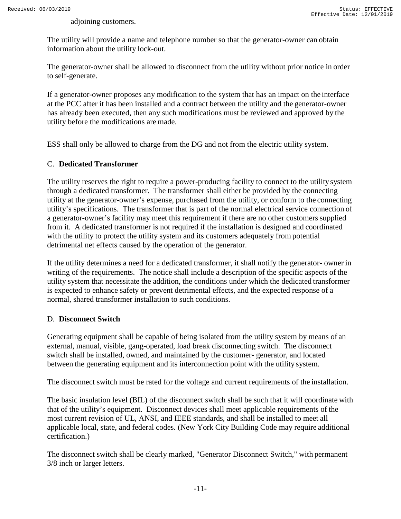adjoining customers.

The utility will provide a name and telephone number so that the generator-owner can obtain information about the utility lock-out.

The generator-owner shall be allowed to disconnect from the utility without prior notice in order to self-generate.

If a generator-owner proposes any modification to the system that has an impact on the interface at the PCC after it has been installed and a contract between the utility and the generator-owner has already been executed, then any such modifications must be reviewed and approved by the utility before the modifications are made.

ESS shall only be allowed to charge from the DG and not from the electric utility system.

#### <span id="page-10-0"></span>C. **Dedicated Transformer**

The utility reserves the right to require a power-producing facility to connect to the utility system through a dedicated transformer. The transformer shall either be provided by the connecting utility at the generator-owner's expense, purchased from the utility, or conform to the connecting utility's specifications. The transformer that is part of the normal electrical service connection of a generator-owner's facility may meet this requirement if there are no other customers supplied from it. A dedicated transformer is not required if the installation is designed and coordinated with the utility to protect the utility system and its customers adequately from potential detrimental net effects caused by the operation of the generator.

If the utility determines a need for a dedicated transformer, it shall notify the generator- owner in writing of the requirements. The notice shall include a description of the specific aspects of the utility system that necessitate the addition, the conditions under which the dedicated transformer is expected to enhance safety or prevent detrimental effects, and the expected response of a normal, shared transformer installation to such conditions.

#### <span id="page-10-1"></span>D. **Disconnect Switch**

Generating equipment shall be capable of being isolated from the utility system by means of an external, manual, visible, gang-operated, load break disconnecting switch. The disconnect switch shall be installed, owned, and maintained by the customer- generator, and located between the generating equipment and its interconnection point with the utility system.

The disconnect switch must be rated for the voltage and current requirements of the installation.

The basic insulation level (BIL) of the disconnect switch shall be such that it will coordinate with that of the utility's equipment. Disconnect devices shall meet applicable requirements of the most current revision of UL, ANSI, and IEEE standards, and shall be installed to meet all applicable local, state, and federal codes. (New York City Building Code may require additional certification.)

The disconnect switch shall be clearly marked, "Generator Disconnect Switch," with permanent 3/8 inch or larger letters.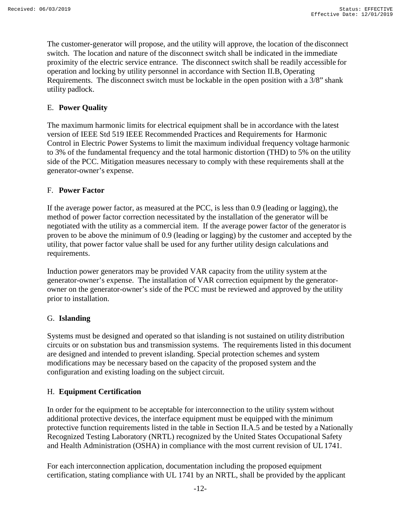The customer-generator will propose, and the utility will approve, the location of the disconnect switch. The location and nature of the disconnect switch shall be indicated in the immediate proximity of the electric service entrance. The disconnect switch shall be readily accessible for operation and locking by utility personnel in accordance with Section II.B, Operating Requirements. The disconnect switch must be lockable in the open position with a 3/8" shank utility padlock.

### <span id="page-11-0"></span>E. **Power Quality**

The maximum harmonic limits for electrical equipment shall be in accordance with the latest version of IEEE Std 519 IEEE Recommended Practices and Requirements for Harmonic Control in Electric Power Systems to limit the maximum individual frequency voltage harmonic to 3% of the fundamental frequency and the total harmonic distortion (THD) to 5% on the utility side of the PCC. Mitigation measures necessary to comply with these requirements shall at the generator-owner's expense.

#### <span id="page-11-1"></span>F. **Power Factor**

If the average power factor, as measured at the PCC, is less than 0.9 (leading or lagging), the method of power factor correction necessitated by the installation of the generator will be negotiated with the utility as a commercial item. If the average power factor of the generator is proven to be above the minimum of 0.9 (leading or lagging) by the customer and accepted by the utility, that power factor value shall be used for any further utility design calculations and requirements.

Induction power generators may be provided VAR capacity from the utility system at the generator-owner's expense. The installation of VAR correction equipment by the generatorowner on the generator-owner's side of the PCC must be reviewed and approved by the utility prior to installation.

#### <span id="page-11-2"></span>G. **Islanding**

Systems must be designed and operated so that islanding is not sustained on utility distribution circuits or on substation bus and transmission systems. The requirements listed in this document are designed and intended to prevent islanding. Special protection schemes and system modifications may be necessary based on the capacity of the proposed system and the configuration and existing loading on the subject circuit.

#### <span id="page-11-3"></span>H. **Equipment Certification**

In order for the equipment to be acceptable for interconnection to the utility system without additional protective devices, the interface equipment must be equipped with the minimum protective function requirements listed in the table in Section II.A.5 and be tested by a Nationally Recognized Testing Laboratory (NRTL) recognized by the United States Occupational Safety and Health Administration (OSHA) in compliance with the most current revision of UL 1741.

For each interconnection application, documentation including the proposed equipment certification, stating compliance with UL 1741 by an NRTL, shall be provided by the applicant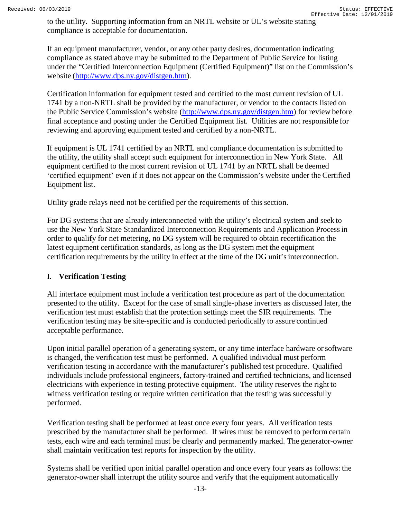to the utility. Supporting information from an NRTL website or UL's website stating compliance is acceptable for documentation.

If an equipment manufacturer, vendor, or any other party desires, documentation indicating compliance as stated above may be submitted to the Department of Public Service for listing under the "Certified Interconnection Equipment (Certified Equipment)" list on the Commission's website [\(http://www.dps.ny.gov/distgen.htm\)](http://www.dps.ny.gov/distgen.htm).

Certification information for equipment tested and certified to the most current revision of UL 1741 by a non-NRTL shall be provided by the manufacturer, or vendor to the contacts listed on the Public Service Commission's website [\(http://www.dps.ny.gov/distgen.htm\)](http://www.dps.ny.gov/distgen.htm) for review before final acceptance and posting under the Certified Equipment list. Utilities are not responsible for reviewing and approving equipment tested and certified by a non-NRTL.

If equipment is UL 1741 certified by an NRTL and compliance documentation is submitted to the utility, the utility shall accept such equipment for interconnection in New York State. All equipment certified to the most current revision of UL 1741 by an NRTL shall be deemed 'certified equipment' even if it does not appear on the Commission's website under the Certified Equipment list.

Utility grade relays need not be certified per the requirements of this section.

For DG systems that are already interconnected with the utility's electrical system and seek to use the New York State Standardized Interconnection Requirements and Application Processin order to qualify for net metering, no DG system will be required to obtain recertification the latest equipment certification standards, as long as the DG system met the equipment certification requirements by the utility in effect at the time of the DG unit's interconnection.

### <span id="page-12-0"></span>I. **Verification Testing**

All interface equipment must include a verification test procedure as part of the documentation presented to the utility. Except for the case of small single-phase inverters as discussed later, the verification test must establish that the protection settings meet the SIR requirements. The verification testing may be site-specific and is conducted periodically to assure continued acceptable performance.

Upon initial parallel operation of a generating system, or any time interface hardware orsoftware is changed, the verification test must be performed. A qualified individual must perform verification testing in accordance with the manufacturer's published test procedure. Qualified individuals include professional engineers, factory-trained and certified technicians, and licensed electricians with experience in testing protective equipment. The utility reserves the right to witness verification testing or require written certification that the testing was successfully performed.

Verification testing shall be performed at least once every four years. All verification tests prescribed by the manufacturer shall be performed. If wires must be removed to perform certain tests, each wire and each terminal must be clearly and permanently marked. The generator-owner shall maintain verification test reports for inspection by the utility.

Systems shall be verified upon initial parallel operation and once every four years as follows: the generator-owner shall interrupt the utility source and verify that the equipment automatically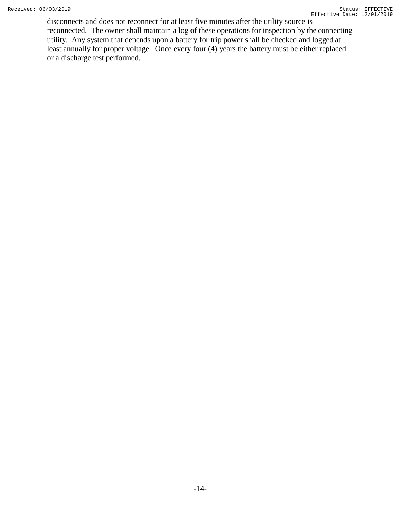disconnects and does not reconnect for at least five minutes after the utility source is reconnected. The owner shall maintain a log of these operations for inspection by the connecting utility. Any system that depends upon a battery for trip power shall be checked and logged at least annually for proper voltage. Once every four (4) years the battery must be either replaced or a discharge test performed.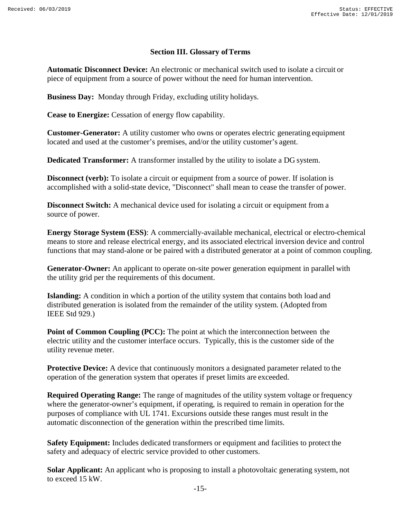#### **Section III. Glossary ofTerms**

<span id="page-14-0"></span>**Automatic Disconnect Device:** An electronic or mechanical switch used to isolate a circuit or piece of equipment from a source of power without the need for human intervention.

**Business Day:** Monday through Friday, excluding utility holidays.

**Cease to Energize:** Cessation of energy flow capability.

**Customer-Generator:** A utility customer who owns or operates electric generating equipment located and used at the customer's premises, and/or the utility customer's agent.

**Dedicated Transformer:** A transformer installed by the utility to isolate a DG system.

**Disconnect (verb):** To isolate a circuit or equipment from a source of power. If isolation is accomplished with a solid-state device, "Disconnect" shall mean to cease the transfer of power.

**Disconnect Switch:** A mechanical device used for isolating a circuit or equipment from a source of power.

**Energy Storage System (ESS)**: A commercially-available mechanical, electrical or electro-chemical means to store and release electrical energy, and its associated electrical inversion device and control functions that may stand-alone or be paired with a distributed generator at a point of common coupling.

**Generator-Owner:** An applicant to operate on-site power generation equipment in parallel with the utility grid per the requirements of this document.

**Islanding:** A condition in which a portion of the utility system that contains both load and distributed generation is isolated from the remainder of the utility system. (Adopted from IEEE Std 929.)

**Point of Common Coupling (PCC):** The point at which the interconnection between the electric utility and the customer interface occurs. Typically, this is the customer side of the utility revenue meter.

**Protective Device:** A device that continuously monitors a designated parameter related to the operation of the generation system that operates if preset limits are exceeded.

**Required Operating Range:** The range of magnitudes of the utility system voltage or frequency where the generator-owner's equipment, if operating, is required to remain in operation for the purposes of compliance with UL 1741. Excursions outside these ranges must result in the automatic disconnection of the generation within the prescribed time limits.

**Safety Equipment:** Includes dedicated transformers or equipment and facilities to protect the safety and adequacy of electric service provided to other customers.

**Solar Applicant:** An applicant who is proposing to install a photovoltaic generating system, not to exceed 15 kW.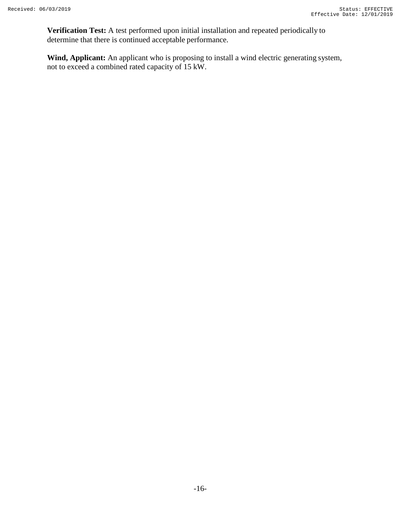**Verification Test:** A test performed upon initial installation and repeated periodically to determine that there is continued acceptable performance.

**Wind, Applicant:** An applicant who is proposing to install a wind electric generating system, not to exceed a combined rated capacity of 15 kW.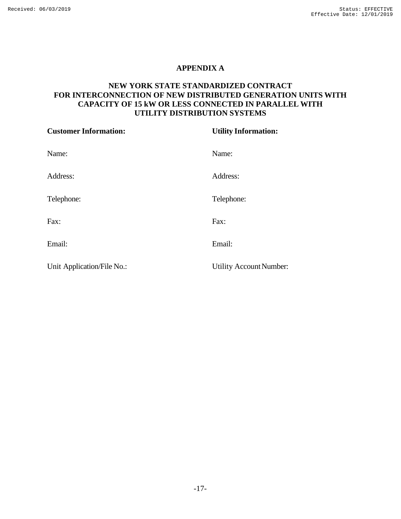#### **APPENDIX A**

#### <span id="page-16-0"></span>**NEW YORK STATE STANDARDIZED CONTRACT FOR INTERCONNECTION OF NEW DISTRIBUTED GENERATION UNITS WITH CAPACITY OF 15 kW OR LESS CONNECTED IN PARALLEL WITH UTILITY DISTRIBUTION SYSTEMS**

| <b>Customer Information:</b> | <b>Utility Information:</b> |  |  |
|------------------------------|-----------------------------|--|--|
| Name:                        | Name:                       |  |  |
| Address:                     | Address:                    |  |  |
| Telephone:                   | Telephone:                  |  |  |
| Fax:                         | Fax:                        |  |  |
| Email:                       | Email:                      |  |  |
| Unit Application/File No.:   | Utility Account Number:     |  |  |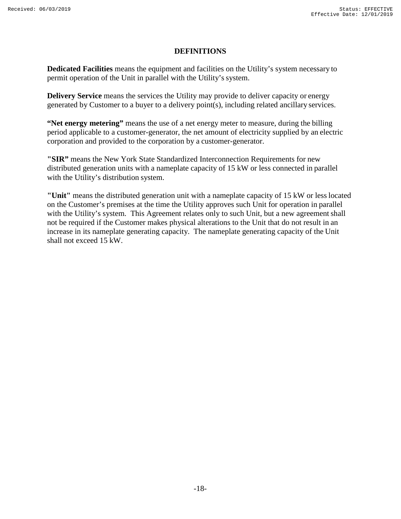#### **DEFINITIONS**

**Dedicated Facilities** means the equipment and facilities on the Utility's system necessary to permit operation of the Unit in parallel with the Utility's system.

**Delivery Service** means the services the Utility may provide to deliver capacity or energy generated by Customer to a buyer to a delivery point(s), including related ancillary services.

**"Net energy metering"** means the use of a net energy meter to measure, during the billing period applicable to a customer-generator, the net amount of electricity supplied by an electric corporation and provided to the corporation by a customer-generator.

**"SIR"** means the New York State Standardized Interconnection Requirements for new distributed generation units with a nameplate capacity of 15 kW or less connected in parallel with the Utility's distribution system.

**"Unit"** means the distributed generation unit with a nameplate capacity of 15 kW or less located on the Customer's premises at the time the Utility approves such Unit for operation in parallel with the Utility's system. This Agreement relates only to such Unit, but a new agreement shall not be required if the Customer makes physical alterations to the Unit that do not result in an increase in its nameplate generating capacity. The nameplate generating capacity of the Unit shall not exceed 15 kW.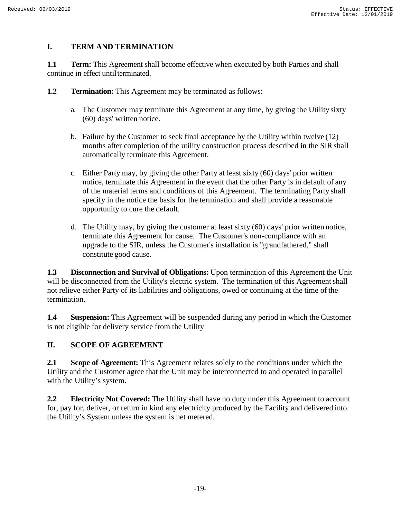### **I. TERM AND TERMINATION**

**1.1 Term:** This Agreement shall become effective when executed by both Parties and shall continue in effect until terminated.

- **1.2 Termination:** This Agreement may be terminated as follows:
	- a. The Customer may terminate this Agreement at any time, by giving the Utility sixty (60) days' written notice.
	- b. Failure by the Customer to seek final acceptance by the Utility within twelve (12) months after completion of the utility construction process described in the SIR shall automatically terminate this Agreement.
	- c. Either Party may, by giving the other Party at least sixty (60) days' prior written notice, terminate this Agreement in the event that the other Party is in default of any of the material terms and conditions of this Agreement. The terminating Party shall specify in the notice the basis for the termination and shall provide a reasonable opportunity to cure the default.
	- d. The Utility may, by giving the customer at least sixty (60) days' prior written notice, terminate this Agreement for cause. The Customer's non-compliance with an upgrade to the SIR, unless the Customer's installation is "grandfathered," shall constitute good cause.

**1.3 Disconnection and Survival of Obligations:** Upon termination of this Agreement the Unit will be disconnected from the Utility's electric system. The termination of this Agreement shall not relieve either Party of its liabilities and obligations, owed or continuing at the time of the termination.

**1.4 Suspension:** This Agreement will be suspended during any period in which the Customer is not eligible for delivery service from the Utility

## **II. SCOPE OF AGREEMENT**

**2.1 Scope of Agreement:** This Agreement relates solely to the conditions under which the Utility and the Customer agree that the Unit may be interconnected to and operated in parallel with the Utility's system.

**2.2 Electricity Not Covered:** The Utility shall have no duty under this Agreement to account for, pay for, deliver, or return in kind any electricity produced by the Facility and delivered into the Utility's System unless the system is net metered.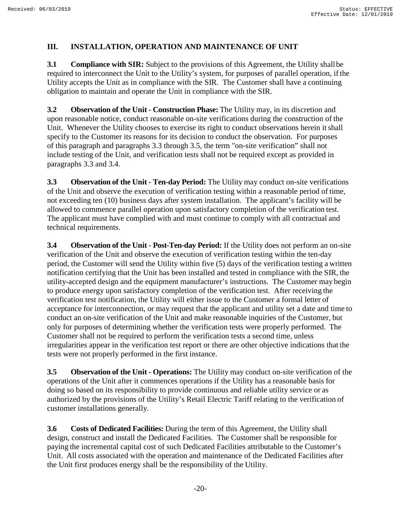### **III. INSTALLATION, OPERATION AND MAINTENANCE OF UNIT**

**3.1 Compliance with SIR:** Subject to the provisions of this Agreement, the Utility shall be required to interconnect the Unit to the Utility's system, for purposes of parallel operation, if the Utility accepts the Unit as in compliance with the SIR. The Customer shall have a continuing obligation to maintain and operate the Unit in compliance with the SIR.

**3.2 Observation of the Unit - Construction Phase:** The Utility may, in its discretion and upon reasonable notice, conduct reasonable on-site verifications during the construction of the Unit. Whenever the Utility chooses to exercise its right to conduct observations herein it shall specify to the Customer its reasons for its decision to conduct the observation. For purposes of this paragraph and paragraphs 3.3 through 3.5, the term "on-site verification" shall not include testing of the Unit, and verification tests shall not be required except as provided in paragraphs 3.3 and 3.4.

**3.3 Observation of the Unit - Ten-day Period:** The Utility may conduct on-site verifications of the Unit and observe the execution of verification testing within a reasonable period of time, not exceeding ten (10) business days after system installation. The applicant's facility will be allowed to commence parallel operation upon satisfactory completion of the verification test. The applicant must have complied with and must continue to comply with all contractual and technical requirements.

**3.4 Observation of the Unit - Post-Ten-day Period:** If the Utility does not perform an on-site verification of the Unit and observe the execution of verification testing within the ten-day period, the Customer will send the Utility within five (5) days of the verification testing a written notification certifying that the Unit has been installed and tested in compliance with the SIR, the utility-accepted design and the equipment manufacturer's instructions. The Customer may begin to produce energy upon satisfactory completion of the verification test. After receiving the verification test notification, the Utility will either issue to the Customer a formal letter of acceptance for interconnection, or may request that the applicant and utility set a date and time to conduct an on-site verification of the Unit and make reasonable inquiries of the Customer, but only for purposes of determining whether the verification tests were properly performed. The Customer shall not be required to perform the verification tests a second time, unless irregularities appear in the verification test report or there are other objective indications that the tests were not properly performed in the first instance.

**3.5 Observation of the Unit - Operations:** The Utility may conduct on-site verification of the operations of the Unit after it commences operations if the Utility has a reasonable basis for doing so based on its responsibility to provide continuous and reliable utility service or as authorized by the provisions of the Utility's Retail Electric Tariff relating to the verification of customer installations generally.

**3.6 Costs of Dedicated Facilities:** During the term of this Agreement, the Utility shall design, construct and install the Dedicated Facilities. The Customer shall be responsible for paying the incremental capital cost of such Dedicated Facilities attributable to the Customer's Unit. All costs associated with the operation and maintenance of the Dedicated Facilities after the Unit first produces energy shall be the responsibility of the Utility.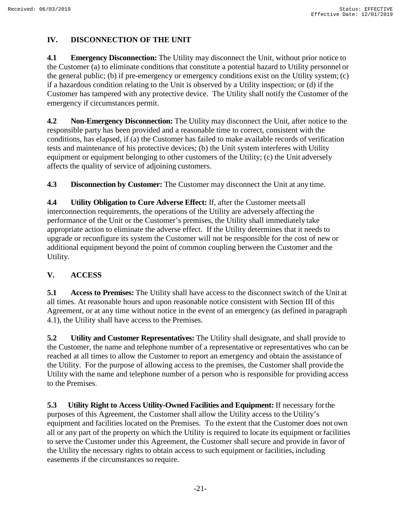## **IV. DISCONNECTION OF THE UNIT**

**4.1 Emergency Disconnection:** The Utility may disconnect the Unit, without prior notice to the Customer (a) to eliminate conditions that constitute a potential hazard to Utility personnel or the general public; (b) if pre-emergency or emergency conditions exist on the Utility system; (c) if a hazardous condition relating to the Unit is observed by a Utility inspection; or (d) if the Customer has tampered with any protective device. The Utility shall notify the Customer of the emergency if circumstances permit.

**4.2 Non-Emergency Disconnection:** The Utility may disconnect the Unit, after notice to the responsible party has been provided and a reasonable time to correct, consistent with the conditions, has elapsed, if (a) the Customer has failed to make available records of verification tests and maintenance of his protective devices; (b) the Unit system interferes with Utility equipment or equipment belonging to other customers of the Utility; (c) the Unit adversely affects the quality of service of adjoining customers.

**4.3 Disconnection by Customer:** The Customer may disconnect the Unit at any time.

**4.4 Utility Obligation to Cure Adverse Effect:** If, after the Customer meets all interconnection requirements, the operations of the Utility are adversely affecting the performance of the Unit or the Customer's premises, the Utility shall immediately take appropriate action to eliminate the adverse effect. If the Utility determines that it needs to upgrade or reconfigure its system the Customer will not be responsible for the cost of new or additional equipment beyond the point of common coupling between the Customer and the Utility.

### **V. ACCESS**

**5.1 Access to Premises:** The Utility shall have access to the disconnect switch of the Unit at all times. At reasonable hours and upon reasonable notice consistent with Section III of this Agreement, or at any time without notice in the event of an emergency (as defined in paragraph 4.1), the Utility shall have access to the Premises.

**5.2 Utility and Customer Representatives:** The Utility shall designate, and shall provide to the Customer, the name and telephone number of a representative or representatives who can be reached at all times to allow the Customer to report an emergency and obtain the assistance of the Utility. For the purpose of allowing access to the premises, the Customer shall provide the Utility with the name and telephone number of a person who is responsible for providing access to the Premises.

**5.3 Utility Right to Access Utility-Owned Facilities and Equipment:** If necessary forthe purposes of this Agreement, the Customer shall allow the Utility access to the Utility's equipment and facilities located on the Premises. To the extent that the Customer does not own all or any part of the property on which the Utility is required to locate its equipment or facilities to serve the Customer under this Agreement, the Customer shall secure and provide in favor of the Utility the necessary rights to obtain access to such equipment or facilities, including easements if the circumstances so require.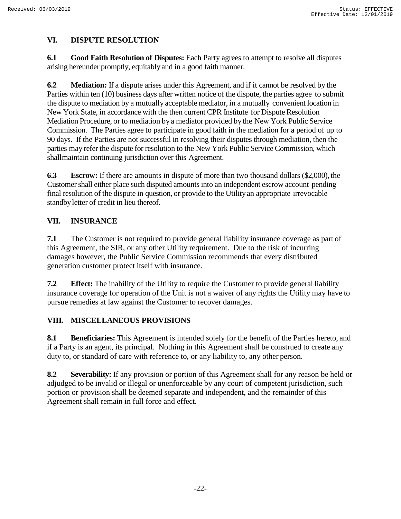### **VI. DISPUTE RESOLUTION**

**6.1 Good Faith Resolution of Disputes:** Each Party agrees to attempt to resolve all disputes arising hereunder promptly, equitably and in a good faith manner.

**6.2 Mediation:** If a dispute arises under this Agreement, and if it cannot be resolved by the Parties within ten (10) business days after written notice of the dispute, the parties agree to submit the dispute to mediation by a mutually acceptable mediator, in a mutually convenient location in New York State, in accordance with the then current CPR Institute for Dispute Resolution Mediation Procedure, or to mediation by a mediator provided by the New York Public Service Commission. The Parties agree to participate in good faith in the mediation for a period of up to 90 days. If the Parties are not successful in resolving their disputes through mediation, then the parties may refer the dispute for resolution to the New York Public Service Commission, which shallmaintain continuing jurisdiction over this Agreement.

**6.3 Escrow:** If there are amounts in dispute of more than two thousand dollars (\$2,000), the Customershall either place such disputed amountsinto an independent escrow account pending final resolution of the dispute in question, or provide to the Utilityan appropriate irrevocable standbyletter of credit in lieu thereof.

### **VII. INSURANCE**

**7.1** The Customer is not required to provide general liability insurance coverage as part of this Agreement, the SIR, or any other Utility requirement. Due to the risk of incurring damages however, the Public Service Commission recommends that every distributed generation customer protect itself with insurance.

**7.2 Effect:** The inability of the Utility to require the Customer to provide general liability insurance coverage for operation of the Unit is not a waiver of any rights the Utility may have to pursue remedies at law against the Customer to recover damages.

## **VIII. MISCELLANEOUS PROVISIONS**

**8.1 Beneficiaries:** This Agreement is intended solely for the benefit of the Parties hereto, and if a Party is an agent, its principal. Nothing in this Agreement shall be construed to create any duty to, or standard of care with reference to, or any liability to, any other person.

**8.2 Severability:** If any provision or portion of this Agreement shall for any reason be held or adjudged to be invalid or illegal or unenforceable by any court of competent jurisdiction, such portion or provision shall be deemed separate and independent, and the remainder of this Agreement shall remain in full force and effect.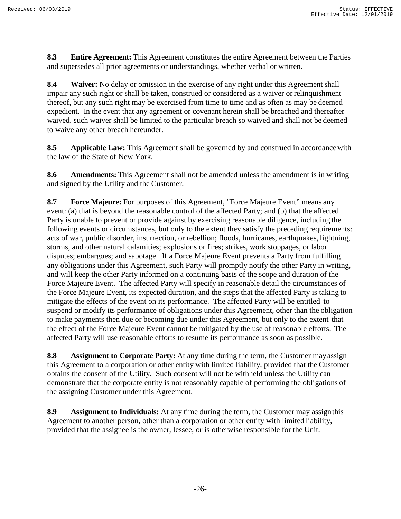**8.3 Entire Agreement:** This Agreement constitutes the entire Agreement between the Parties and supersedes all prior agreements or understandings, whether verbal or written.

**8.4 Waiver:** No delay or omission in the exercise of any right under this Agreement shall impair any such right or shall be taken, construed or considered as a waiver or relinquishment thereof, but any such right may be exercised from time to time and as often as may be deemed expedient. In the event that any agreement or covenant herein shall be breached and thereafter waived, such waiver shall be limited to the particular breach so waived and shall not be deemed to waive any other breach hereunder.

**8.5 Applicable Law:** This Agreement shall be governed by and construed in accordancewith the law of the State of New York.

**8.6 Amendments:** This Agreement shall not be amended unless the amendment is in writing and signed by the Utility and the Customer.

**8.7 Force Majeure:** For purposes of this Agreement, "Force Majeure Event" means any event: (a) that is beyond the reasonable control of the affected Party; and (b) that the affected Party is unable to prevent or provide against by exercising reasonable diligence, including the following events or circumstances, but only to the extent they satisfy the preceding requirements: acts of war, public disorder, insurrection, or rebellion; floods, hurricanes, earthquakes, lightning, storms, and other natural calamities; explosions or fires; strikes, work stoppages, or labor disputes; embargoes; and sabotage. If a Force Majeure Event prevents a Party from fulfilling any obligations under this Agreement, such Party will promptly notify the other Party in writing, and will keep the other Party informed on a continuing basis of the scope and duration of the Force Majeure Event. The affected Party will specify in reasonable detail the circumstances of the Force Majeure Event, its expected duration, and the steps that the affected Party is taking to mitigate the effects of the event on its performance. The affected Party will be entitled to suspend or modify its performance of obligations under this Agreement, other than the obligation to make payments then due or becoming due under this Agreement, but only to the extent that the effect of the Force Majeure Event cannot be mitigated by the use of reasonable efforts. The affected Party will use reasonable efforts to resume its performance as soon as possible.

**8.8 Assignment to Corporate Party:** At any time during the term, the Customer mayassign this Agreement to a corporation or other entity with limited liability, provided that the Customer obtains the consent of the Utility. Such consent will not be withheld unless the Utility can demonstrate that the corporate entity is not reasonably capable of performing the obligations of the assigning Customer under this Agreement.

**8.9 Assignment to Individuals:** At any time during the term, the Customer may assignthis Agreement to another person, other than a corporation or other entity with limited liability, provided that the assignee is the owner, lessee, or is otherwise responsible for the Unit.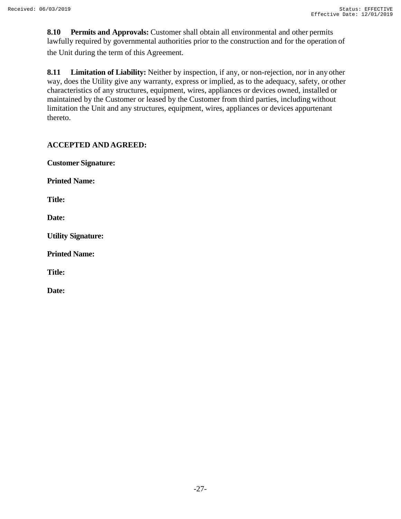**8.10 Permits and Approvals:** Customer shall obtain all environmental and other permits lawfully required by governmental authorities prior to the construction and for the operation of the Unit during the term of this Agreement.

**8.11 Limitation of Liability:** Neither by inspection, if any, or non-rejection, nor in any other way, does the Utility give any warranty, express or implied, as to the adequacy, safety, or other characteristics of any structures, equipment, wires, appliances or devices owned, installed or maintained by the Customer or leased by the Customer from third parties, including without limitation the Unit and any structures, equipment, wires, appliances or devices appurtenant thereto.

### **ACCEPTED AND AGREED:**

**Customer Signature:**

**Printed Name:**

**Title:**

**Date:**

**Utility Signature:**

**Printed Name:**

**Title:**

**Date:**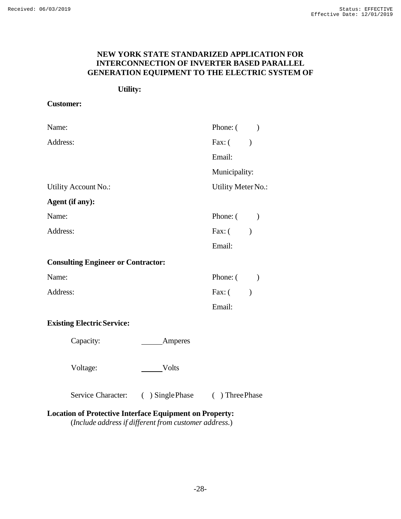#### **NEW YORK STATE STANDARIZED APPLICATION FOR INTERCONNECTION OF INVERTER BASED PARALLEL GENERATION EQUIPMENT TO THE ELECTRIC SYSTEM OF**

#### **Utility:**

#### **Customer:**

| Name:                |                                           |                  | Phone: $($ )       |               |
|----------------------|-------------------------------------------|------------------|--------------------|---------------|
| Address:             |                                           |                  | Fax: ( )           |               |
|                      |                                           |                  | Email:             |               |
|                      |                                           |                  | Municipality:      |               |
| Utility Account No.: |                                           |                  | Utility Meter No.: |               |
|                      | Agent (if any):                           |                  |                    |               |
| Name:                |                                           |                  | Phone: $($ )       |               |
| Address:             |                                           |                  | Fax: $($           |               |
|                      |                                           |                  | Email:             |               |
|                      | <b>Consulting Engineer or Contractor:</b> |                  |                    |               |
| Name:                |                                           |                  | Phone: $($ )       |               |
| Address:             |                                           |                  | Fax: (             | $\mathcal{E}$ |
|                      |                                           |                  | Email:             |               |
|                      | <b>Existing Electric Service:</b>         |                  |                    |               |
|                      | Capacity:                                 | Amperes          |                    |               |
|                      | Voltage:                                  | Volts            |                    |               |
|                      | Service Character:                        | ( ) Single Phase | ( ) Three Phase    |               |

### **Location of Protective Interface Equipment on Property:**

(*Include address if different from customer address.*)